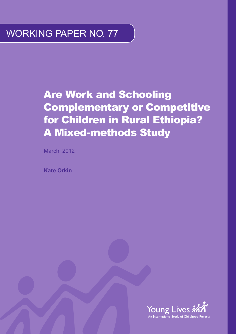### WORKING PAPER NO. 77

### Are Work and Schooling Complementary or Competitive for Children in Rural Ethiopia? A Mixed-methods Study

March 2012

**Kate Orkin**

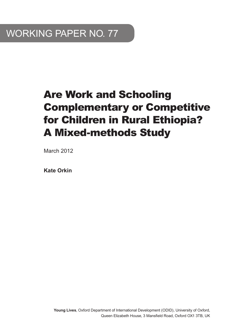### Are Work and Schooling Complementary or Competitive for Children in Rural Ethiopia? A Mixed-methods Study

March 2012

**Kate Orkin**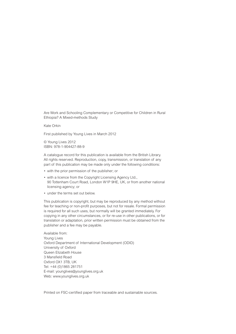Are Work and Schooling Complementary or Competitive for Children in Rural Ethiopia? A Mixed-methods Study

Kate Orkin

First published by Young Lives in March 2012

© Young Lives 2012 ISBN: 978-1-904427-88-9

A catalogue record for this publication is available from the British Library. All rights reserved. Reproduction, copy, transmission, or translation of any part of this publication may be made only under the following conditions:

- with the prior permission of the publisher; or
- with a licence from the Copyright Licensing Agency Ltd., 90 Tottenham Court Road, London W1P 9HE, UK, or from another national licensing agency; or
- under the terms set out below.

This publication is copyright, but may be reproduced by any method without fee for teaching or non-profit purposes, but not for resale. Formal permission is required for all such uses, but normally will be granted immediately. For copying in any other circumstances, or for re-use in other publications, or for translation or adaptation, prior written permission must be obtained from the publisher and a fee may be payable.

Available from: Young Lives Oxford Department of International Development (ODID) University of Oxford Queen Elizabeth House 3 Mansfield Road Oxford OX1 3TB, UK Tel: +44 (0)1865 281751 E-mail: younglives@younglives.org.uk Web: www.younglives.org.uk

Printed on FSC-certified paper from traceable and sustainable sources.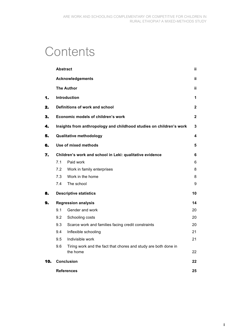## **Contents**

|     | <b>Abstract</b>                    |                                                                             | ij. |  |  |  |  |
|-----|------------------------------------|-----------------------------------------------------------------------------|-----|--|--|--|--|
|     |                                    | <b>Acknowledgements</b>                                                     | ii  |  |  |  |  |
|     |                                    | <b>The Author</b>                                                           | ij. |  |  |  |  |
| 1.  | <b>Introduction</b>                |                                                                             |     |  |  |  |  |
| 2.  |                                    | Definitions of work and school                                              | 2   |  |  |  |  |
| 3.  | Economic models of children's work |                                                                             |     |  |  |  |  |
| 4.  |                                    | Insights from anthropology and childhood studies on children's work         | 3   |  |  |  |  |
| 5.  |                                    | <b>Qualitative methodology</b>                                              | 4   |  |  |  |  |
| 6.  |                                    | Use of mixed methods                                                        | 5   |  |  |  |  |
| 7.  |                                    | Children's work and school in Leki: qualitative evidence                    | 6   |  |  |  |  |
|     | 7.1                                | Paid work                                                                   | 6   |  |  |  |  |
|     | 7.2                                | Work in family enterprises                                                  | 8   |  |  |  |  |
|     | 7.3                                | Work in the home                                                            | 8   |  |  |  |  |
|     | 7.4                                | The school                                                                  | 9   |  |  |  |  |
| 8.  |                                    | <b>Descriptive statistics</b>                                               | 10  |  |  |  |  |
| 9.  |                                    | <b>Regression analysis</b>                                                  | 14  |  |  |  |  |
|     | 9.1                                | Gender and work                                                             | 20  |  |  |  |  |
|     | 9.2                                | Schooling costs                                                             | 20  |  |  |  |  |
|     | 9.3                                | Scarce work and families facing credit constraints                          | 20  |  |  |  |  |
|     | 9.4                                | Inflexible schooling                                                        | 21  |  |  |  |  |
|     | 9.5                                | Indivisible work                                                            | 21  |  |  |  |  |
|     | 9.6                                | Tiring work and the fact that chores and study are both done in<br>the home | 22  |  |  |  |  |
| 10. | <b>Conclusion</b>                  |                                                                             |     |  |  |  |  |
|     | <b>References</b>                  |                                                                             |     |  |  |  |  |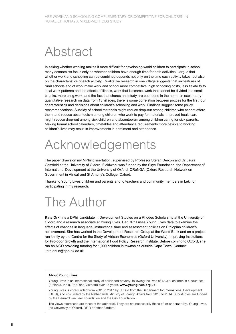## Abstract

In asking whether working makes it more difficult for developing-world children to participate in school, many economists focus only on whether children have enough time for both activities. I argue that whether work and schooling can be combined depends not only on the time each activity takes, but also on the characteristics of each activity. Qualitative research in one village suggests that six features of rural schools and of work make work and school more competitive: high schooling costs, less flexibility to local work patterns and the effects of illness, work that is scarce, work that cannot be divided into small chunks, more tiring work, and the fact that chores and study are both done in the home. In exploratory quantitative research on data from 13 villages, there is some correlation between proxies for the first four characteristics and decisions about children's schooling and work. Findings suggest some policy recommendations. Subsidy of school materials might reduce drop-out among children who cannot afford them, and reduce absenteeism among children who work to pay for materials. Improved healthcare might reduce drop-out among sick children and absenteeism among children caring for sick parents. Making formal school calendars, timetables and attendance requirements more flexible to working children's lives may result in improvements in enrolment and attendance.

# Acknowledgements

The paper draws on my MPhil dissertation, supervised by Professor Stefan Dercon and Dr Laura Camfield at the University of Oxford. Fieldwork was funded by the Skye Foundation, the Department of International Development at the University of Oxford, OReNGA (Oxford Research Network on Government in Africa) and St Antony's College, Oxford.

Thanks to Young Lives children and parents and to teachers and community members in Leki for participating in my research.

### The Author

**Kate Orkin** is a DPhil candidate in Development Studies on a Rhodes Scholarship at the University of Oxford and a research associate at Young Lives. Her DPhil uses Young Lives data to examine the effects of changes in language, instructional time and assessment policies on Ethiopian children's achievement. She has worked in the Development Research Group at the World Bank and on a project run jointly by the Centre for the Study of African Economies (Oxford University), Improving Institutions for Pro-poor Growth and the International Food Policy Research Institute. Before coming to Oxford, she ran an NGO providing tutoring for 1,000 children in townships outside Cape Town. Contact: kate.orkin@qeh.ox.ac.uk.

#### **About Young Lives**

Young Lives is an international study of childhood poverty, following the lives of 12,000 children in 4 countries (Ethiopia, India, Peru and Vietnam) over 15 years. **www.younglives.org.uk**

Young Lives is core-funded from 2001 to 2017 by UK aid from the Department for International Development (DFID), and co-funded by the Netherlands Ministry of Foreign Affairs from 2010 to 2014. Sub-studies are funded by the Bernard van Leer Foundation and the Oak Foundation.

The views expressed are those of the author(s). They are not necessarily those of, or endorsed by, Young Lives, the University of Oxford, DFID or other funders.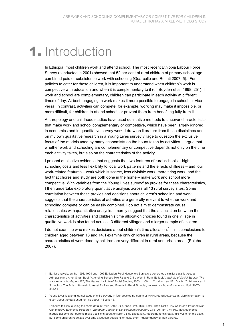### **1.** Introduction

In Ethiopia, most children work and attend school. The most recent Ethiopia Labour Force Survey (conducted in 2001) showed that 52 per cent of rural children of primary school age combined paid or subsistence work with schooling (Guarcello and Rosati 2007: 5).<sup>1</sup> For policies to cater for these children, it is important to understand when children's work is competitive with education and when it is complementary to it (cf. Boyden et al. 1998: 251). If work and school are complementary, children can participate in each activity at different times of day. At best, engaging in work makes it more possible to engage in school, or vice versa. In contrast, activities can compete: for example, working may make it impossible, or more difficult, for children to attend school, or prevent them from benefiting fully from it.

Anthropology and childhood studies have used qualitative methods to uncover characteristics that make work and school complementary or competitive, which have been largely ignored in economics and in quantitative survey work. I draw on literature from these disciplines and on my own qualitative research in a Young Lives survey village to question the exclusive focus of the models used by many economists on the hours taken by activities. I argue that whether work and schooling are complementary or competitive depends not only on the time each activity takes, but also on the characteristics of the activity.

I present qualitative evidence that suggests that two features of rural schools – high schooling costs and less flexibility to local work patterns and the effects of illness – and four work-related features – work which is scarce, less divisible work, more tiring work, and the fact that chores and study are both done in the home – make work and school more competitive. With variables from the Young Lives survey<sup>2</sup> as proxies for these characteristics, I then undertake exploratory quantitative analysis across all 13 rural survey sites. Some correlation between these proxies and decisions about children's schooling and work suggests that the characteristics of activities are generally relevant to whether work and schooling compete or can be easily combined. I do not aim to demonstrate causal relationships with quantitative analysis. I merely suggest that the association between the characteristics of activities and children's time allocation choices found in one village in qualitative work is also found across 13 different villages and a larger sample of children.

I do not examine who makes decisions about children's time allocation.<sup>3</sup> I limit conclusions to children aged between 13 and 14. I examine only children in rural areas, because the characteristics of work done by children are very different in rural and urban areas (Poluha 2007).

<sup>1</sup> Earlier analysis, on the 1993, 1994 and 1995 Ethiopian Rural Household Surveys,s generates a similar statistic Assefa Admassie and Arjun Singh Bedi, 'Attending School: Two R's and Child Work in Rural Ethiopia', *Institute of Social Studies (The Hague) Working Paper* (387; The Hague: Institute of Social Studies, 2003), 1-50, J. Cockburn and B. Dostie, 'Child Work and Schooling: The Role of Household Asset Profiles and Poverty in Rural Ethiopia', *Journal of African Economics,* 16/4 (2007), 519-63..

<sup>2</sup> Young Lives is a longitudinal study of child poverty in four developing countries (www.younglives.org.uk). More information is given about the data used for this paper in Section 5.

<sup>3</sup> I discuss this issue using the same data in Orkin Kate Orkin, '"See First, Think Later, Then Test": How Children's Perspectives Can Improve Economic Research', *European Journal of Development Research,* 23/5 (2011b), 774–91.. Most economic models assume that parents make decisions about children's time allocation. According to this data, this was often the case, but some children negotiate over time allocation decisions or make them independently of their parents.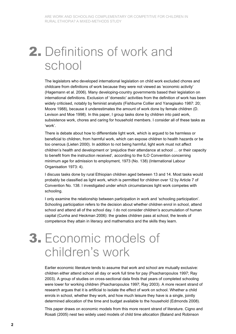# **2.** Definitions of work and school

The legislators who developed international legislation on child work excluded chores and childcare from definitions of work because they were not viewed as 'economic activity' (Hagemann et al. 2006). Many developing-country governments based their legislation on international definitions. Exclusion of 'domestic' activities from the definition of work has been widely criticised, notably by feminist analysts (Fishburne Collier and Yanagisako 1987: 20; Moore 1988), because it underestimates the amount of work done by female children (D. Levison and Moe 1998). In this paper, I group tasks done by children into paid work, subsistence work, chores and caring for household members. I consider all of these tasks as 'work'.

There is debate about how to differentiate light work, which is argued to be harmless or beneficial to children, from harmful work, which can expose children to health hazards or be too onerous (Lieten 2000). In addition to not being harmful, light work must not affect children's health and development or 'prejudice their attendance at school … or their capacity to benefit from the instruction received', according to the ILO Convention concerning minimum age for admission to employment, 1973 (No. 138) (International Labour Organisation 1973: 4).

I discuss tasks done by rural Ethiopian children aged between 13 and 14. Most tasks would probably be classified as light work, which is permitted for children over 12 by Article 7 of Convention No. 138. I investigated under which circumstances light work competes with schooling.

I only examine the relationship between participation in work and 'schooling participation'. Schooling participation refers to the decision about whether children enrol in school, attend school and attend all of the school day. I do not consider children's accumulation of human capital (Cunha and Heckman 2006): the grades children pass at school, the levels of competence they attain in literacy and mathematics and the skills they learn.

### **3.** Economic models of children's work

Earlier economic literature tends to assume that work and school are mutually exclusive: children either attend school all day or work full time for pay (Psacharopoulos 1997; Ray 2003). A group of studies on cross-sectional data finds that years of completed schooling were lower for working children (Psacharopoulos 1997; Ray 2003). A more recent strand of research argues that it is artificial to isolate the effect of work on school. Whether a child enrols in school, whether they work, and how much leisure they have is a single, jointly determined allocation of the time and budget available to the household (Edmonds 2008).

This paper draws on economic models from this more recent strand of literature. Cigno and Rosati (2005) nest two widely used models of child time allocation (Baland and Robinson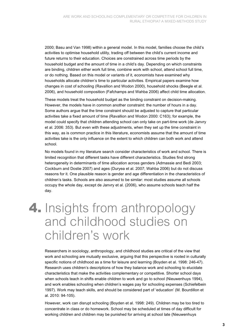2000; Basu and Van 1998) within a general model. In this model, families choose the child's activities to optimise household utility, trading off between the child's current income and future returns to their education. Choices are constrained across time periods by the household budget and the amount of time in a child's day. Depending on which constraints are binding, children either work full time, combine work with school, attend school full time, or do nothing. Based on this model or variants of it, economists have examined why households allocate children's time to particular activities. Empirical papers examine how changes in cost of schooling (Ravallion and Wodon 2000), household shocks (Beegle et al. 2006), and household composition (Fafchamps and Wahba 2006) affect child time allocation.

These models treat the household budget as the binding constraint on decision-making. However, the models have in common another constraint: the number of hours in a day. Some authors argue that the time constraint should be adjusted to capture that particular activities take a fixed amount of time (Ravallion and Wodon 2000: C163); for example, the model could specify that children attending school can only take on part-time work (de Janvry et al. 2006: 353). But even with these adjustments, when they set up the time constraint in this way, as is common practice in this literature, economists assume that the amount of time activities take is the only influence on the extent to which children can both work and attend school.

No models found in my literature search consider characteristics of work and school. There is limited recognition that different tasks have different characteristics. Studies find strong heterogeneity in determinants of time allocation across genders (Admassie and Bedi 2003; Cockburn and Dostie 2007) and ages (Duryea et al. 2007; Wahba 2006) but do not discuss reasons for it. One plausible reason is gender and age differentiation in the characteristics of children's tasks. Schools are also assumed to be similar: most studies assume all schools occupy the whole day, except de Janvry et al. (2006), who assume schools teach half the day.

### **4.** Insights from anthropology and childhood studies on children's work

Researchers in sociology, anthropology, and childhood studies are critical of the view that work and schooling are mutually exclusive, arguing that this perspective is rooted in culturally specific notions of childhood as a time for leisure and learning (Boyden et al. 1998: 246-47). Research uses children's descriptions of how they balance work and schooling to elucidate characteristics that make the activities complementary or competitive. Shorter school days when schools teach in shifts enable children to work and go to school (Nieuwenhuys 1994), and work enables schooling when children's wages pay for schooling expenses (Schiefelbein 1997). Work may teach skills, and should be considered part of 'education' (M. Bourdillon et al. 2010: 94-105).

However, work can disrupt schooling (Boyden et al. 1998: 249). Children may be too tired to concentrate in class or do homework. School may be scheduled at times of day difficult for working children and children may be punished for arriving at school late (Nieuwenhuys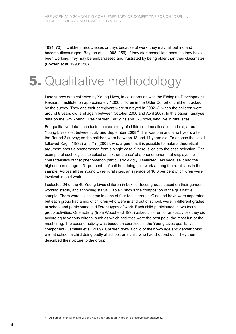1994: 70). If children miss classes or days because of work, they may fall behind and become discouraged (Boyden et al. 1998: 256). If they start school late because they have been working, they may be embarrassed and frustrated by being older than their classmates (Boyden et al. 1998: 256).

## **5.** Qualitative methodology

I use survey data collected by Young Lives, in collaboration with the Ethiopian Development Research Institute, on approximately 1,000 children in the Older Cohort of children tracked by the survey. They and their caregivers were surveyed in 2002–3, when the children were around 8 years old, and again between October 2006 and April 2007. In this paper I analyse data on the 625 Young Lives children, 302 girls and 323 boys, who live in rural sites.

For qualitative data, I conducted a case study of children's time allocation in Leki, a rural Young Lives site, between July and September 2008.<sup>4</sup> This was one and a half years after the Round 2 survey; so the children were between 13 and 14 years old. To choose the site, I followed Ragin (1992) and Yin (2003), who argue that it is possible to make a theoretical argument about a phenomenon from a single case if there is logic to the case selection. One example of such logic is to select an 'extreme case' of a phenomenon that displays the characteristics of that phenomenon particularly vividly. I selected Leki because it had the highest percentage – 51 per cent – of children doing paid work among the rural sites in the sample. Across all the Young Lives rural sites, an average of 10.6 per cent of children were involved in paid work.

I selected 24 of the 49 Young Lives children in Leki for focus groups based on their gender, working status, and schooling status. Table 1 shows the compostion of the qualitative sample. There were six children in each of four focus groups. Girls and boys were separated, but each group had a mix of children who were in and out of school, were in different grades at school and participated in different types of work. Each child participated in two focus group activities. One activity (from Woodhead 1998) asked children to rank activities they did according to various criteria, such as which activities were the best paid, the most fun or the most tiring. The second activity was based on exercises in the Young Lives qualitative component (Camfield et al. 2009). Children drew a child of their own age and gender doing well at school, a child doing badly at school, or a child who had dropped out. They then described their picture to the group.

<sup>4</sup> All names of children and villages have been changed, in order to preserve their anonymity.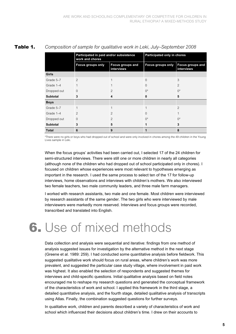|                 | Participated in paid and/or subsistence<br>work and chores |                                       | Participated only in chores |                                       |  |
|-----------------|------------------------------------------------------------|---------------------------------------|-----------------------------|---------------------------------------|--|
|                 | <b>Focus groups only</b>                                   | <b>Focus groups and</b><br>interviews | <b>Focus groups only</b>    | <b>Focus groups and</b><br>interviews |  |
| Girls           |                                                            |                                       |                             |                                       |  |
| Grade 5-7       | $\overline{2}$                                             |                                       | $\Omega$                    | 3                                     |  |
| Grade 1-4       |                                                            |                                       | $\Omega$                    | $\overline{2}$                        |  |
| Dropped out     | $\Omega$                                                   | $\mathcal{P}$                         | $()^*$                      | $()^*$                                |  |
| <b>Subtotal</b> | 3                                                          | 4                                     | 0                           | 5                                     |  |
| <b>Boys</b>     |                                                            |                                       |                             |                                       |  |
| Grade 5-7       | 1                                                          |                                       | 1                           | $\mathfrak{D}$                        |  |
| Grade 1-4       | $\mathcal{P}$                                              | $\mathcal{P}$                         | $\Omega$                    |                                       |  |
| Dropped out     | $\Omega$                                                   | $\mathfrak{D}$                        | $()^*$                      | $\bigcap^*$                           |  |
| <b>Subtotal</b> | 3                                                          | 5                                     | 1                           | 3                                     |  |
| <b>Total</b>    | 6                                                          | 9                                     | 1                           | 8                                     |  |

#### **Table 1.** *Composition of sample for qualitative work in Leki, July–September 2008*

\*There were no girls or boys who had dropped out of school and were only involved in chores among the 49 children in the Young Lives sample in Leki.

When the focus groups' activities had been carried out, I selected 17 of the 24 children for semi-structured interviews. There were still one or more children in nearly all categories (although none of the children who had dropped out of school participated only in chores). I focused on children whose experiences were most relevant to hypotheses emerging as important in the research. I used the same process to select ten of the 17 for follow-up interviews, home observations and interviews with children's mothers. We also interviewed two female teachers, two male community leaders, and three male farm managers.

I worked with research assistants, two male and one female. Most children were interviewed by research assistants of the same gender. The two girls who were interviewed by male interviewers were markedly more reserved. Interviews and focus groups were recorded, transcribed and translated into English.

## **6.** Use of mixed methods

Data collection and analysis were sequential and iterative: findings from one method of analysis suggested issues for investigation by the alternative method in the next stage (Greene et al. 1989: 259). I had conducted some quantitative analysis before fieldwork. This suggested qualitative work should focus on rural areas, where children's work was more prevalent, and suggested the particular case study village, where involvement in paid work was highest. It also enabled the selection of respondents and suggested themes for interviews and child-specific questions. Initial qualitative analysis based on field notes encouraged me to reshape my research questions and generated the conceptual framework of the characteristics of work and school. I applied this framework in the third stage, a detailed quantitative analysis, and the fourth stage, detailed qualitative analysis of transcripts using Atlas. Finally, the combination suggested questions for further surveys.

In qualitative work, children and parents described a variety of characteristics of work and school which influenced their decisions about children's time. I drew on their accounts to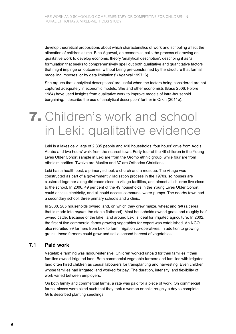develop theoretical propositions about which characteristics of work and schooling affect the allocation of children's time. Bina Agarwal, an economist, calls the process of drawing on qualitative work to develop economic theory 'analytical description', describing it as 'a formulation that seeks to comprehensively spell out both qualitative and quantitative factors that might impinge on outcomes, without being pre-constrained by the structure that formal modelling imposes, or by data limitations' (Agarwal 1997: 6).

She argues that 'analytical descriptions' are useful when the factors being considered are not captured adequately in economic models. She and other economists (Basu 2006; Folbre 1984) have used insights from qualitative work to improve models of intra-household bargaining. I describe the use of 'analytical description' further in Orkin (2011b).

### **7.** Children's work and school in Leki: qualitative evidence

Leki is a lakeside village of 2,835 people and 410 households, four hours' drive from Addis Ababa and two hours' walk from the nearest town. Forty-four of the 49 children in the Young Lives Older Cohort sample in Leki are from the Oromo ethnic group, while four are from ethnic minorities. Twelve are Muslim and 37 are Orthodox Christians.

Leki has a health post, a primary school, a church and a mosque. The village was constructed as part of a government villagisation process in the 1970s, so houses are clustered together along dirt roads close to village facilities, and almost all children live close to the school. In 2006, 49 per cent of the 49 households in the Young Lives Older Cohort could access electricity, and all could access communal water pumps. The nearby town had a secondary school, three primary schools and a clinic.

In 2008, 285 households owned land, on which they grew maize, wheat and *teff* (a cereal that is made into *enjera*, the staple flatbread). Most households owned goats and roughly half owned cattle. Because of the lake, land around Leki is ideal for irrigated agriculture. In 2002, the first of five commercial farms growing vegetables for export was established. An NGO also recruited 99 farmers from Leki to form irrigation co-operatives. In addition to growing grains, these farmers could grow and sell a second harvest of vegetables.

#### **7.1 Paid work**

Vegetable farming was labour-intensive. Children worked unpaid for their families if their families owned irrigated land. Both commercial vegetable farmers and families with irrigated land often hired children as casual labourers for transplanting and harvesting. Even children whose families had irrigated land worked for pay. The duration, intensity, and flexibility of work varied between employers.

On both family and commercial farms, a rate was paid for a piece of work. On commercial farms, pieces were sized such that they took a woman or child roughly a day to complete. Girls described planting seedlings: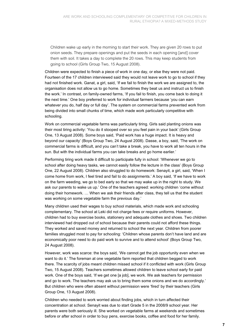Children wake up early in the morning to start their work. They are given 20 rows to put onion seeds. They prepare openings and put the seeds in each opening [and] cover them with soil. It takes a day to complete the 20 rows. This may keep students from going to school (Girls Group Two, 15 August 2008).

Children were expected to finish a piece of work in one day, or else they were not paid. Fourteen of the 17 children interviewed said they would not leave work to go to school if they had not finished work. Ganat, a girl, said, 'If we fail to finish the work we are assigned to, the organisation does not allow us to go home. Sometimes they beat us and instruct us to finish the work.' In contrast, on family-owned farms, 'If you fail to finish, you come back to doing it the next time.' One boy preferred to work for individual farmers because 'you can earn whatever you do, half day or full day'. The system on commercial farms prevented work from being divided into small chunks of time, which made work particularly competitive with schooling.

Work on commercial vegetable farms was particularly tiring. Girls said planting onions was their most tiring activity: 'You do it stooped over so you feel pain in your back' (Girls Group One, 13 August 2008). Some boys said, 'Paid work has a huge impact. It is heavy and beyond our capacity' (Boys Group Two, 24 August 2008). Dasse, a boy, said, 'The work on commercial farms is difficult, and you can't take a break, you have to work all ten hours in the sun. But with the individual farms you can take breaks and go home earlier.'

Performing tiring work made it difficult to participate fully in school: 'Whenever we go to school after doing heavy tasks, we cannot easily follow the lecture in the class' (Boys Group One, 22 August 2008). Children also struggled to do homework: Senayit, a girl, said, 'When I come home from work, I feel tired and fail to do assignments.' A boy said, 'If we have to work on the farm weeding, we go to bed early so that we may wake up in the night to study. We ask our parents to wake us up.' One of the teachers agreed: working children 'come without doing their homework. … When we ask their friends after class, they tell us that the student was working on some vegetable farm the previous day.'

Many children used their wages to buy school materials, which made work and schooling complementary. The school at Leki did not charge fees or require uniforms. However, children had to buy exercise books, stationery and adequate clothes and shoes. Two children interviewed had dropped out of school because their parents could not afford these things. They worked and saved money and returned to school the next year. Children from poorer families struggled most to pay for schooling: 'Children whose parents don't have land and are economically poor need to do paid work to survive and to attend school' (Boys Group Two, 24 August 2008).

However, work was scarce: the boys said, 'We cannot get the job opportunity even when we want to do it.' The foreman at one vegetable farm reported that children begged to work there. The scarcity of jobs meant children missed school if it conflicted with work (Girls Group Two, 15 August 2008). Teachers sometimes allowed children to leave school early for paid work. One of the boys said, 'If we get one [a job], we work. We ask teachers for permission and go to work. The teachers may ask us to bring them some onions and we do accordingly.' But children who were often absent without permission were 'fired' by their teachers (Girls Group One, 13 August 2008).

Children who needed to work worried about finding jobs, which in turn affected their concentration at school. Senayit was due to start Grade 5 in the 2008/9 school year. Her parents were both seriously ill. She worked on vegetable farms at weekends and sometimes before or after school in order to buy pens, exercise books, coffee and food for her family.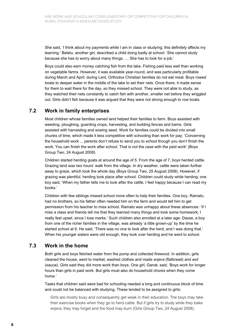She said, 'I think about my payments while I am in class or studying; this definitely affects my learning.' Beletu, another girl, described a child doing badly at school: 'She cannot study because she has to worry about many things. … She has to look for a job.'

Boys could also earn money catching fish from the lake. Fishing paid less well than working on vegetable farms. However, it was available year-round, and was particularly profitable during March and April: during Lent, Orthodox Christian families do not eat meat. Boys rowed boats to deeper water in the middle of the lake to set their nets. Once there, it made sense for them to wait there for the day, so they missed school. They were not able to study, as they watched their nets constantly to catch fish with another, smaller net before they wriggled out. Girls didn't fish because it was argued that they were not strong enough to row boats.

#### **7.2 Work in family enterprises**

Most children whose families owned land helped their families to farm. Boys assisted with weeding, ploughing, guarding crops, harvesting, and building fences and barns. Girls assisted with harvesting and sowing seed. Work for families could be divided into small chunks of time, which made it less competitive with schooling than work for pay: 'Concerning the household work ... parents don't refuse to send you to school though you don't finish the work. You can finish the work after school. That is not the case with the paid work' (Boys Group Two, 24 August 2008).

Children started herding goats at around the age of 5. From the age of 7, boys herded cattle. Grazing land was two hours' walk from the village. In dry weather, cattle were taken further away to graze, which took the whole day (Boys Group Two, 25 August 2008). However, if grazing was plentiful, herding took place after school. Children could study while herding: one boy said, 'When my father tells me to look after the cattle, I feel happy because I can read my books.'

Children with few siblings missed school more often to help their families. One boy, Ramato, had no brothers, so his father often needed him on the farm and would tell him to get permission from his teacher to miss school. Ramato was unhappy about these absences: 'If I miss a class and friends tell me that they learned many things and took some homework, I really feel upset, since I lose marks.' Such children also enrolled at a later age: Dasse, a boy from one of the richer families in the village, was already 'a little grown-up' by the time he started school at 9. He said, 'There was no one to look after the herd, and I was doing that.' When his younger sisters were old enough, they took over herding and he went to school.

#### **7.3 Work in the home**

Both girls and boys fetched water from the pump and collected firewood. In addition, girls cleaned the house, went to market, washed clothes and made *enjera* (flatbread) and *wot* (sauce). Girls said they did more work than boys. One girl, Ganat, said, 'Boys work for longer hours than girls in paid work. But girls must also do household chores when they come home.'

Tasks that children said were bad for schooling needed a long and continuous block of time and could not be balanced with studying. These tended to be assigned to girls:

Girls are mostly busy and consequently get weak in their education. The boys may take their exercise books when they go to herd cattle. But if girls try to study while they bake *enjera*, they may forget and the food may burn (Girls Group Two, 24 August 2008).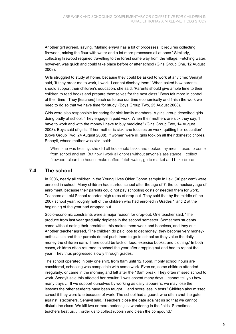Another girl agreed, saying, 'Making *enjera* has a lot of processes. It requires collecting firewood, mixing the flour with water and a lot more processes all at once.' Similarly, collecting firewood required travelling to the forest some way from the village. Fetching water, however, was quick and could take place before or after school (Girls Group One, 12 August 2008).

Girls struggled to study at home, because they could be asked to work at any time: Senayit said, 'If they order me to work, I work. I cannot disobey them.' When asked how parents should support their children's education, she said, 'Parents should give ample time to their children to read books and prepare themselves for the next class.' Boys felt more in control of their time: 'They [teachers] teach us to use our time economically and finish the work we need to do so that we have time for study' (Boys Group Two, 25 August 2008).

Girls were also responsible for caring for sick family members. A girls' group described girls doing badly at school: 'They engage in paid work. When their mothers are sick they say, 'I have to work and with the money I have to buy medicine'' (Girls Group Two, 14 August 2008). Boys said of girls, 'If her mother is sick, she focuses on work, quitting her education' (Boys Group Two, 24 August 2008). If women were ill, girls took on all their domestic chores. Senayit, whose mother was sick, said:

When she was healthy, she did all household tasks and cooked my meal. I used to come from school and eat. But now I work all chores without anyone's assistance. I collect firewood, clean the house, make coffee, fetch water, go to market and bake bread.

#### **7.4 The school**

In 2006, nearly all children in the Young Lives Older Cohort sample in Leki (96 per cent) were enrolled in school. Many children had started school after the age of 7, the compulsory age of enrolment, because their parents could not pay schooling costs or needed them for work. Teachers at Leki School reported high rates of drop-out. They said that by the middle of the 2007 school year, roughly half of the children who had enrolled in Grades 1 and 2 at the beginning of the year had dropped out.

Socio-economic constraints were a major reason for drop-out. One teacher said, 'The produce from last year gradually depletes in the second semester. Sometimes students come without eating their breakfast; this makes them weak and hopeless, and they quit.' Another teacher agreed, 'The children do paid jobs to get money; they become very moneyenthusiastic and their parents do not push them to go to school as they value the daily money the children earn. There could be lack of food, exercise books, and clothing.' In both cases, children often returned to school the year after dropping out and had to repeat the year. They thus progressed slowly through grades.

The school operated in only one shift, from 8am until 12.15pm. If only school hours are considered, schooling was compatible with some work. Even so, some children attended irregularly, or came in the morning and left after the 10am break. They often missed school to work. Senayit said this affected her results: 'I was absent many days. I cannot tell you how many days … If we support ourselves by working as daily labourers, we may lose the lessons the other students have been taught ... and score less in tests.' Children also missed school if they were late because of work. The school had a guard, who often shut the gate against latecomers. Senayit said, 'Teachers close the gate against us so that we cannot disturb the class. We kill two or more periods just wandering in the fields. Sometimes teachers beat us, … order us to collect rubbish and clean the compound.'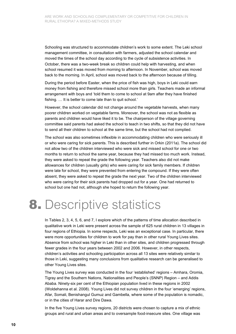Schooling was structured to accommodate children's work to some extent. The Leki school management committee, in consultation with farmers, adjusted the school calendar and moved the times of the school day according to the cycle of subsistence activities. In October, there was a two-week break so children could help with harvesting, and when school resumed it was moved from morning to afternoon. In November, school was moved back to the morning. In April, school was moved back to the afternoon because of tilling.

During the period before Easter, when the price of fish was high, boys in Leki could earn money from fishing and therefore missed school more than girls. Teachers made an informal arrangement with boys and 'told them to come to school at 9am after they have finished fishing. … It is better to come late than to quit school.'

However, the school calendar did not change around the vegetable harvests, when many poorer children worked on vegetable farms. Moreover, the school was not as flexible as parents and children would have liked it to be. The chairperson of the village governing committee said parents had asked the school to teach in two shifts, so that they did not have to send all their children to school at the same time, but the school had not complied.

The school was also sometimes inflexible in accommodating children who were seriously ill or who were caring for sick parents. This is described further in Orkin (2011a). The school did not allow two of the children interviewed who were sick and missed school for one or two months to return to school the same year, because they had missed too much work. Instead, they were asked to repeat the grade the following year. Teachers also did not make allowances for children (usually girls) who were caring for sick family members. If children were late for school, they were prevented from entering the compound. If they were often absent, they were asked to repeat the grade the next year. Two of the children interviewed who were caring for their sick parents had dropped out for a year. One had returned to school but one had not, although she hoped to return the following year.

### **8.** Descriptive statistics

In Tables 2, 3, 4, 5, 6, and 7, I explore which of the patterns of time allocation described in qualitative work in Leki were present across the sample of 625 rural children in 13 villages in four regions of Ethiopia. In some respects, Leki was an exceptional case. In particular, there were more opportunities for children to work for pay than in other rural Young Lives sites. Absence from school was higher in Leki than in other sites, and children progressed through fewer grades in the four years between 2002 and 2006. However, in other respects, children's activities and schooling participation across all 13 sites were relatively similar to those in Leki, suggesting many conclusions from qualitative research can be generalised to other Young Lives sites.

The Young Lives survey was conducted in the four 'established' regions – Amhara, Oromia, Tigray and the Southern Nations, Nationalities and People's (SNNP) Region – and Addis Ababa. Ninety-six per cent of the Ethiopian population lived in these regions in 2002 (Woldehanna et al. 2008). Young Lives did not survey children in the four 'emerging' regions, Afar, Somali, Benishangul Gumuz and Gambella, where some of the population is nomadic, or in the cities of Harar and Dire Dawa.

In the five Young Lives survey regions, 20 districts were chosen to capture a mix of ethnic groups and rural and urban areas and to oversample food-insecure sites. One village was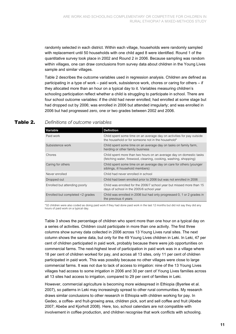randomly selected in each district. Within each village, households were randomly sampled with replacement until 50 households with one child aged 8 were identified. Round 1 of the quantitative survey took place in 2002 and Round 2 in 2006. Because sampling was random within villages, one can draw conclusions from survey data about children in the Young Lives sample and similar villages.

Table 2 describes the outcome variables used in regression analysis. Children are defined as participating in a type of work – paid work, subsistence work, chores or caring for others – if they allocated more than an hour on a typical day to it. Variables measuring children's schooling participation reflect whether a child is struggling to participate in school. There are four school outcome variables: if the child had never enrolled; had enrolled at some stage but had dropped out by 2006; was enrolled in 2006 but attended irregularly; and was enrolled in 2006 but had progressed zero, one or two grades between 2002 and 2006.

| Variable                         | <b>Definition</b>                                                                                                                       |
|----------------------------------|-----------------------------------------------------------------------------------------------------------------------------------------|
| Paid work                        | Child spent some time on an average day on activities for pay outside<br>the household or for someone not in the household*             |
| Subsistence work                 | Child spent some time on an average day on tasks on family farm,<br>herding or other family business                                    |
| Chores                           | Child spent more than two hours on an average day on domestic tasks<br>(fetching water, firewood, cleaning, cooking, washing, shopping) |
| Caring for others                | Child spent some time on an average day on care for others (younger<br>siblings, ill household members)                                 |
| Never enrolled                   | Child had never enrolled in school                                                                                                      |
| Dropped out                      | Child had been enrolled prior to 2006 but was not enrolled in 2006                                                                      |
| Enrolled but attending poorly    | Child was enrolled for the 2006/7 school year but missed more than 15<br>days of school in the 2005/6 school year                       |
| Enrolled but completed <2 grades | Child was enrolled in 2006 but had only progressed 0, 1 or 2 grades in<br>the previous 4 years                                          |

#### **Table 2.** *Definitions of outcome variables*

\*32 children were also coded as doing paid work if they had done paid work in the last 12 months but did not say they did any hours of paid work on a typical day.

Table 3 shows the percentage of children who spent more than one hour on a typical day on a series of activities. Children could participate in more than one activity. The first three columns show survey data collected in 2006 across 13 Young Lives rural sites. The next column shows the same data, but only for the 49 Young Lives children in Leki. In Leki, 47 per cent of children participated in paid work, probably because there were job opportunities on commercial farms. The next-highest level of participation in paid work was in a village where 18 per cent of children worked for pay, and across all 13 sites, only 11 per cent of children participated in paid work. This was possibly because no other villages were close to large commercial farms. It was not due to lack of access to irrigation: nine of the 13 Young Lives villages had access to some irrigation in 2006 and 30 per cent of Young Lives families across all 13 sites had access to irrigation, compared to 29 per cent of families in Leki.

However, commercial agriculture is becoming more widespread in Ethiopia (Byerlee et al. 2007), so patterns in Leki may increasingly spread to other rural communities. My research draws similar conclusions to other research in Ethiopia with children working for pay. In Gedeo, a coffee- and fruit-growing area, children pick, sort and sell coffee and fruit (Abebe 2007; Abebe and Kjorholt 2008). Here, too, school calendars are not compatible with involvement in coffee production, and children recognise that work conflicts with schooling.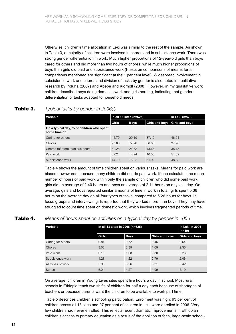Otherwise, children's time allocation in Leki was similar to the rest of the sample. As shown in Table 3, a majority of children were involved in chores and in subsistence work. There was strong gender differentiation in work. Much higher proportions of 12-year-old girls than boys cared for others and did more than two hours of chores; while much higher proportions of boys than girls did paid and subsistence work (t-tests on comparisons of means for all comparisons mentioned are significant at the 1 per cent level). Widespread involvement in subsistence work and chores and division of tasks by gender is also noted in qualitative research by Poluha (2007) and Abebe and Kjorholt (2008). However, in my qualitative work children described boys doing domestic work and girls herding, indicating that gender differentiation of tasks adapted to household needs.

### **Table 3.** *Typical tasks by gender in 2006%*

| Variable                                                   | In all 13 sites ( $n=625$ ) |             |                               | In Leki (n=49) |
|------------------------------------------------------------|-----------------------------|-------------|-------------------------------|----------------|
|                                                            | Girls                       | <b>Boys</b> | Girls and boys Girls and boys |                |
| On a typical day, % of children who spent<br>some time on: |                             |             |                               |                |
| Caring for others                                          | 45.70                       | 29.10       | 37.12                         | 46.94          |
| Chores                                                     | 97.03                       | 77.26       | 86.86                         | 97.96          |
| Chores (of more than two hours)                            | 62.25                       | 26.32       | 43.68                         | 38.78          |
| Paid work                                                  | 6.62                        | 14.24       | 10.56                         | 51.02          |
| Subsistence work                                           | 44.70                       | 78.02       | 61.92                         | 48.98          |

Table 4 shows the amount of time children spent on various tasks. Means for paid work are biased downwards, because many children did not do paid work. If one calculates the mean number of hours of paid work within only the sample of children who did some paid work, girls did an average of 2.40 hours and boys an average of 2.11 hours on a typical day. On average, girls and boys reported similar amounts of time in work in total: girls spent 5.36 hours on the average day on all four types of tasks, compared to 5.26 hours for boys. In focus groups and interviews, girls reported that they worked more than boys. They may have struggled to count time spent on domestic work, which involves fragmented periods of time.

#### **Table 4.** *Means of hours spent on activities on a typical day by gender in 2006*

| Variable          | In all 13 sites in 2006 (n=625) | In Leki in 2006<br>(n=49) |                       |                       |
|-------------------|---------------------------------|---------------------------|-----------------------|-----------------------|
|                   | Girls                           | <b>Boys</b>               | <b>Girls and boys</b> | <b>Girls and boys</b> |
| Caring for others | 0.84                            | 0.72                      | 0.46                  | 0.64                  |
| <b>Chores</b>     | 3.08                            | 2.39                      | 1.69                  | 2.36                  |
| Paid work         | 0.16                            | 1.08                      | 0.30                  | 0.23                  |
| Subsistence work  | 1.28                            | 1.22                      | 2.79                  | 2.06                  |
| All types of work | 5.36                            | 5.26                      | 5.31                  | 5.42                  |
| School            | 5.21                            | 4.27                      | 4.99                  | 5.10                  |

On average, children in Young Lives sites spent five hours a day in school. Most rural schools in Ethiopia teach two shifts of children for half a day each because of shortages of teachers or because parents want the children to be available to work part time.

Table 5 describes children's schooling participation. Enrolment was high: 93 per cent of children across all 13 sites and 97 per cent of children in Leki were enrolled in 2006. Very few children had never enrolled. This reflects recent dramatic improvements in Ethiopian children's access to primary education as a result of the abolition of fees, large-scale school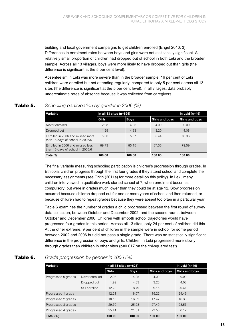building and local government campaigns to get children enrolled (Engel 2010: 3). Differences in enrolment rates between boys and girls were not statistically significant. A relatively small proportion of children had dropped out of school in both Leki and the broader sample. Across all 13 villages, boys were more likely to have dropped out than girls (the difference is significant at the 5 per cent level).

Absenteeism in Leki was more severe than in the broader sample: 16 per cent of Leki children were enrolled but not attending regularly, compared to only 5 per cent across all 13 sites (the difference is significant at the 5 per cent level). In all villages, data probably underestimate rates of absence because it was collected from caregivers.

| Variable                                                             | In all 13 sites ( $n=625$ ) |             |                | In Leki (n=49) |
|----------------------------------------------------------------------|-----------------------------|-------------|----------------|----------------|
|                                                                      | Girls                       | <b>Boys</b> | Girls and boys | Girls and boys |
| Never enrolled                                                       | 2.98                        | 4.95        | 4.00           | 0.00           |
| Dropped out                                                          | 1.99                        | 4.33        | 320            | 4.08           |
| Enrolled in 2006 and missed more<br>than 15 days of school in 2005/6 | 5.30                        | 5.57        | 5.44           | 16.33          |
| Enrolled in 2006 and missed less<br>than 15 days of school in 2005/6 | 89 73                       | 85 15       | 87 36          | 79.59          |
| Total %                                                              | 100.00                      | 100.00      | 100.00         | 100.00         |

### **Table 5.** *Schooling participation by gender in 2006 (%)*

The final variable measuring schooling participation is children's progression through grades. In Ethiopia, children progress through the first four grades if they attend school and complete the necessary assignments (see Orkin (2011a) for more detail on this policy). In Leki, many children interviewed in qualitative work started school at 7, when enrolment becomes compulsory, but were in grades much lower than they could be at age 12. Slow progression occurred because children dropped out for one or more years of school and then returned, or because children had to repeat grades because they were absent too often in a particular year.

Table 6 examines the number of grades a child progressed between the first round of survey data collection, between October and December 2002, and the second round, between October and December 2006. Children with smooth school trajectories would have progressed four grades in this period. Across all 13 sites, only 24 per cent of children did this. At the other extreme, 9 per cent of children in the sample were in school for some period between 2002 and 2006 but did not pass a single grade. There was no statistically significant difference in the progression of boys and girls. Children in Leki progressed more slowly through grades than children in other sites (p=0.017 on the chi-squared test).

### **Table 6.** *Grade progression by gender in 2006 (%)*

| Variable            | In all 13 sites $(n=625)$ | In Leki (n=49) |             |                |                |
|---------------------|---------------------------|----------------|-------------|----------------|----------------|
|                     |                           | Girls          | <b>Boys</b> | Girls and boys | Girls and boys |
| Progressed 0 grades | Never enrolled            | 2.98           | 4.95        | 4.00           | 0.00           |
|                     | Dropped out               | 1.99           | 4.33        | 3.20           | 4.08           |
|                     | Still enrolled            | 12.23          | 8.79        | 9.15           | 20.41          |
| Progressed 1 grade  |                           | 12.21          | 18.07       | 15.22          | 24.49          |
| Progressed 2 grades |                           | 18.15          | 16.82       | 17.47          | 16.33          |
| Progressed 3 grades |                           | 29.70          | 25.23       | 27.40          | 28.57          |
| Progressed 4 grades |                           | 25.41          | 21.81       | 23.56          | 6.12           |
| Total $(\%)$        |                           | 100.00         | 100.00      | 100.00         | 100.00         |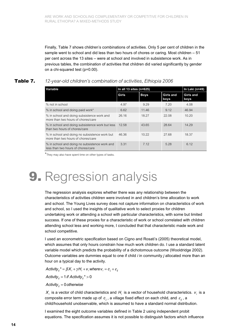Finally, Table 7 shows children's combinations of activities. Only 5 per cent of children in the sample went to school and did less than two hours of chores or caring. Most children – 51 per cent across the 13 sites – were at school and involved in subsistence work. As in previous tables, the combination of activities that children did varied significantly by gender on a chi-squared test (p=0.00).

#### **Table 7.** *12-year-old children's combination of activities, Ethiopia 2006*

| Variable                                                                            | In all 13 sites ( $n=625$ ) | In Leki (n=49) |                   |                          |
|-------------------------------------------------------------------------------------|-----------------------------|----------------|-------------------|--------------------------|
|                                                                                     | Girls                       | <b>Boys</b>    | Girls and<br>boys | <b>Girls and</b><br>boys |
| % not in school                                                                     | 4.97                        | 9.29           | 7.20              | 4.08                     |
| % in school and doing paid work*                                                    | 6.62                        | 11.46          | 9.12              | 46.94                    |
| % in school and doing subsistence work and<br>more than two hours of chores/care    | 26.16                       | 18.27          | 22.08             | 10.20                    |
| % in school and doing subsistence work but less<br>than two hours of chores/care    | 12.58                       | 43.65          | 28.64             | 14.29                    |
| % in school and doing no subsistence work but<br>more than two hours of chores/care | 46.36                       | 10.22          | 27.68             | 18.37                    |
| % in school and doing no subsistence work and<br>less than two hours of chores/care | 3.31                        | 7.12           | 5.28              | 6.12                     |

\*They may also have spent time on other types of tasks.

# **9.** Regression analysis

The regression analysis explores whether there was any relationship between the characteristics of activities children were involved in and children's time allocation to work and school. The Young Lives survey does not capture information on characteristics of work and school, so I used the insights of qualitative work to select proxies for children undertaking work or attending a school with particular characteristics, with some but limited success. If one of these proxies for a characteristic of work or school correlated with children attending school less and working more, I concluded that that characteristic made work and school competitive.

I used an econometric specification based on Cigno and Rosati's (2005) theoretical model, which assumes that only hours constrain how much work children do. I use a standard latent variable model which predicts the probability of a dichotomous outcome (Wooldridge 2002). Outcome variables are dummies equal to one if child *i* in community *j* allocated more than an hour on a typical day to the activity.

*Activity*<sub>i</sub><sup>\*</sup> =  $\beta X_i + \gamma H_i + v_i$  where  $v_i = c_i + \varepsilon_i$ 

*Activity*<sub>*ii*</sub> = 1 *if Activity*<sub>*ii*</sub>  $*$  > 0

*Activityij* = 0*otherwise*

 $X_i$  is a vector of child characteristics and  $H_i$  is a vector of household characteristics.  $v_i$  is a composite error term made up of  $c_j$ , a village fixed effect on each child, and  $\varepsilon_{ij}$ , a child/household unobservable, which is assumed to have a standard normal distribution.

I examined the eight outcome variables defined in Table 2 using independent probit equations. The specification assumes it is not possible to distinguish factors which influence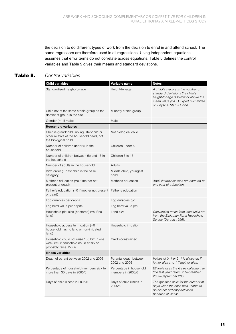the decision to do different types of work from the decision to enrol in and attend school. The same regressors are therefore used in all regressions. Using independent equations assumes that error terms do not correlate across equations. Table 8 defines the control variables and Table 9 gives their means and standard deviations.

#### **Table 8.** *Control variables*

| <b>Child variables</b>                                                                                          | Variable name                                 | <b>Notes</b>                                                                                                                                                                   |
|-----------------------------------------------------------------------------------------------------------------|-----------------------------------------------|--------------------------------------------------------------------------------------------------------------------------------------------------------------------------------|
| Standardised height-for-age                                                                                     | Height-for-age                                | A child's z-score is the number of<br>standard deviations the child's<br>height-for-age is below or above the<br>mean value (WHO Expert Committee<br>on Physical Status 1995). |
| Child not of the same ethnic group as the<br>dominant group in the site                                         | Minority ethnic group                         |                                                                                                                                                                                |
| Gender (=1 if male)                                                                                             | Male                                          |                                                                                                                                                                                |
| <b>Household variables</b>                                                                                      |                                               |                                                                                                                                                                                |
| Child is grandchild, sibling, stepchild or<br>other relative of the household head, not<br>the biological child | Not biological child                          |                                                                                                                                                                                |
| Number of children under 5 in the<br>household                                                                  | Children under 5                              |                                                                                                                                                                                |
| Number of children between 5e and 16 in<br>the household                                                        | Children 6 to 16                              |                                                                                                                                                                                |
| Number of adults in the household                                                                               | Adults                                        |                                                                                                                                                                                |
| Birth order (Eldest child is the base<br>category)                                                              | Middle child, youngest<br>child               |                                                                                                                                                                                |
| Mother's education $(=0$ if mother not<br>present or dead)                                                      | Mother's education                            | Adult literacy classes are counted as<br>one year of education.                                                                                                                |
| Father's education (=0 if mother not present Father's education<br>or dead)                                     |                                               |                                                                                                                                                                                |
| Log durables per capita                                                                                         | Log durables p/c                              |                                                                                                                                                                                |
| Log herd value per capita                                                                                       | Log herd value p/c                            |                                                                                                                                                                                |
| Household plot size (hectares) (=0 if no<br>land)                                                               | Land size                                     | Conversion ratios from local units are<br>from the Ethiopian Rural Household<br>Survey (Dercon 1996).                                                                          |
| Household access to irrigation $(=0$ if<br>household has no land or non-irrigated<br>land)                      | Household irrigation                          |                                                                                                                                                                                |
| Household could not raise 150 birr in one<br>week (=0 if household could easily or<br>probably raise 150B)      | Credit-constrained                            |                                                                                                                                                                                |
| Illness variables                                                                                               |                                               |                                                                                                                                                                                |
| Death of parent between 2002 and 2006                                                                           | Parental death between<br>2002 and 2006       | Values of 0, 1 or 2. 1 is allocated if<br>father dies and 1 if mother dies.                                                                                                    |
| Percentage of household members sick for<br>more than 30 days in 2005/6                                         | Percentage ill household<br>members in 2005/6 | Ethiopia uses the Ge'ez calendar, so<br>'the last year' refers to September<br>2005-September 2006.                                                                            |
| Days of child illness in 2005/6                                                                                 | Days of child illness in<br>2005/6            | The question asks for the number of<br>days when the child was unable to<br>do his/her ordinary activities<br>because of illness.                                              |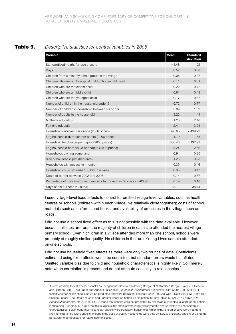#### **Table 9.** *Descriptive statistics for control variables in 2006*

| Variable                                                             | <b>Mean</b> | <b>Standard</b><br>deviation |
|----------------------------------------------------------------------|-------------|------------------------------|
| Standardised height-for-age z-score                                  | $-1.48$     | 1.22                         |
| <b>Boys</b>                                                          | 0.52        | 0.50                         |
| Children from a minority ethnic group in the village                 | 0.08        | 0.27                         |
| Children who are not biological child of household head              | 0.11        | 0.31                         |
| Children who are the eldest child                                    | 0.22        | 0.42                         |
| Children who are a middle child                                      | 0.61        | 0.48                         |
| Children who are the youngest child                                  | 0.17        | 0.37                         |
| Number of children in the household under 5                          | 0.72        | 0.77                         |
| Number of children in household between 5 and 16                     | 2.89        | 1.09                         |
| Number of adults in the household                                    | 3.22        | 1.44                         |
| Mother's education                                                   | 1.25        | 2.46                         |
| Father's education                                                   | 2.41        | 3.21                         |
| Household durables per capita (2006 prices)                          | 698.65      | 7,439.29                     |
| Log household durables per capita (2006 prices)                      | 4.19        | 1.85                         |
| Household herd value per capita (2006 prices)                        | 856.46      | 4,132.93                     |
| Log household herd value per capita (2006 prices)                    | 5.24        | 2.66                         |
| Households owning some land                                          | 0.94        | 0.25                         |
| Size of household plot (hectares)                                    | 1.23        | 0.98                         |
| Households with access to irrigation                                 | 0.30        | 0.46                         |
| Household could not raise 150 birr in a week                         | 0.33        | 0.47                         |
| Death of parent between 2002 and 2006                                | 0.14        | 0.37                         |
| Percentage of household members sick for more than 30 days in 2005/6 | 0.19        | 0.18                         |
| Days of child illness in 2005/6                                      | 13.71       | 38.44                        |

I used village-level fixed effects to control for omitted village-level variables, such as health centres or schools (children within each village live relatively close together); costs of school materials such as uniforms and books; and availability of amenities in the village, such as roads.

I did not use a school fixed effect as this is not possible with the data available. However, because all sites are rural, the majority of children in each site attended the nearest village primary school. Even if children in a village attended more than one school, schools were probably of roughly similar quality. No children in the rural Young Lives sample attended private schools.

I did not use household fixed effects as there were only two rounds of data. Coefficients estimated using fixed effects would be consistent but standard errors would be inflated. Omitted variable bias due to child and household characteristics is highly likely. So I merely note when correlation is present and do not attribute causality to relationships.<sup>5</sup>

<sup>5</sup> It is not possible to test whether shocks are exogenous. However, following Beegle et al. Kathleen Beegle, Rajeev H. Dehejia, and Roberta Gatti, 'Child Labor and Agricultural Shocks', *Journal of Development Economics,* 81/1 (2006), 80-96 at 84., I tested whether health shocks could be predicted and were persistent see Kate Orkin, ''If God Wills…Next Year I Will Send Her Back to School': The Effects of Child and Parental Illness on School Participation in Rural Ethiopia', *CREATE Pathways to Access Monographs,* 60 (2011a), 1-50.. I found that shocks were not predicted by observable variables, except for household landholding. Beegle et al. argue that this suggests that shocks were largely idiosyncratic and unrelated to unobservable characteristics. I also found that most health shocks were transitory: households which experienced shocks were not more likely to experience future shocks, except in the case of death. Households were thus unlikely to anticipate shocks and change behaviour to compensate for future income losses.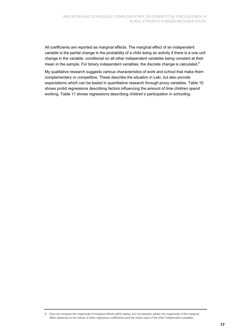All coefficients are reported as marginal effects. The marginal effect of an independent variable is the partial change in the probability of a child doing an activity if there is a one unit change in the variable, conditional on all other independent variables being constant at their mean in the sample. For binary independent variables, the discrete change is calculated.<sup>6</sup>

My qualitative research suggests various characteristics of work and school that make them complementary or competitive. These describe the situation in Leki, but also provide expectations which can be tested in quantitative research through proxy variables. Table 10 shows probit regressions describing factors influencing the amount of time children spend working. Table 11 shows regressions describing children's participation in schooling.

6 One can compare the magnitude of marginal effects within tables, but not between tables: the magnitude of the marginal effect depends on the values of other regression coefficients and the mean value of the other independent variables.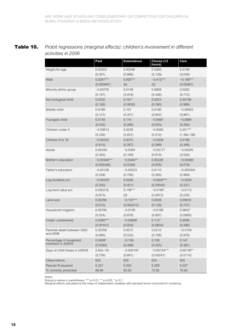### **Table 10.** *Probit regressions (marginal effects): children's involvement in different activities in 2006*

|                                 | Paid          | <b>Subsistence</b> | Chores (>2<br>hours) | Care         |
|---------------------------------|---------------|--------------------|----------------------|--------------|
| Height-for-age                  | 0.00353       | 0.00346            | 0.0260               | 0.0108       |
|                                 | (0.361)       | (0.886)            | (0.129)              | (0.649)      |
| Male                            | $0.0281***$   | $0.500***$         | $-0.412***$          | $-0.188***$  |
|                                 | (0.000947)    | (0)                | (0)                  | (0.00381)    |
| Minority ethnic group           | $-0.00735$    | 0.0149             | 0.0608               | 0.0250       |
|                                 | (0.157)       | (0.918)            | (0.446)              | (0.772)      |
| Not biological child            | 0.0332        | $0.161*$           | 0.0253               | 0.00108      |
|                                 | (0.192)       | (0.0630)           | (0.760)              | (0.989)      |
| Middle child                    | 0.0189        | 0.107              | 0.0166               | $-0.00925$   |
|                                 | (0.121)       | (0.201)            | (0.852)              | (0.861)      |
| Youngest child                  | 0.0139        | 0.116              | $-0.0497$            | $-0.0994$    |
|                                 | (0.432)       | (0.280)            | (0.533)              | (0.250)      |
| Children under 5                | $-0.00613$    | 0.0226             | $-0.0482$            | $0.251***$   |
|                                 | (0.236)       | (0.557)            | (0.312)              | $(1.36e-08)$ |
| Children 6 to 16                | $-0.00252$    | 0.0272             | $-0.0329$            | 0.0168       |
|                                 | (0.615)       | (0.267)            | (0.289)              | (0.456)      |
| <b>Adults</b>                   | 0.00349       | $-0.0394$          | $-0.00177$           | $-0.00200$   |
|                                 | (0.303)       | (0.169)            | (0.910)              | (0.930)      |
| Mother's education              | $-0.00346***$ | $-0.0340**$        | 0.00228              | $-0.00589$   |
|                                 | (0.000328)    | (0.0329)           | (0.878)              | (0.579)      |
| Father's education              | $-0.00128$    | $-0.00223$         | 0.0110               | $-0.000304$  |
|                                 | (0.249)       | (0.790)            | (0.265)              | (0.969)      |
| Log durables p/c                | $-0.00335*$   | 0.0206             | $-0.0402***$         | $-0.0230$    |
|                                 | (0.200)       | (0.421)            | (0.00542)            | (0.227)      |
| Log herd value p/c              | 0.000216      | $0.108***$         | $-0.0190*$           | $-0.0112$    |
|                                 | (0.873)       | (0)                | (0.0872)             | (0.232)      |
| Land size                       | 0.00295       | $-0.107***$        | 0.0538               | 0.00616      |
|                                 | (0.610)       | (0.000472)         | (0.129)              | (0.737)      |
| Household irrigation            | 0.00780       | $-0.0106$          | $-0.0168$            | $0.0602*$    |
|                                 | (0.524)       | (0.878)            | (0.807)              | (0.0890)     |
| Credit-constrained              | $0.0385***$   | $-0.00808$         | $0.112*$             | 0.0556       |
|                                 | (0.00101)     | (0.834)            | (0.0834)             | (0.286)      |
| Parental death between 2002     | 0.00356       | 0.0572             | 0.0210               | $-0.0109$    |
| and 2006                        | (0.685)       | (0.522)            | (0.708)              | (0.876)      |
| Percentage ill household        | $0.0409*$     | $-0.159$           | 0.109                | 0.147        |
| members in 2005/6               | (0.0592)      | (0.468)            | (0.325)              | (0.381)      |
| Days of child illness in 2005/6 | $2.83e - 05$  | $-0.000187$        | $-0.00154***$        | $0.00138**$  |
|                                 | (0.759)       | (0.661)            | (0.00247)            | (0.0110)     |
| Observations                    | 625           | 625                | 625                  | 625          |
| Pseudo R-squared                | 0.327         | 0.420              | 0.209                | 0.227        |
| % correctly predicted           | 89.90         | 82.05              | 72.92                | 75.64        |

Notes:

Robust p-values in parentheses: \*\*\* p<0.01, \*\* p<0.05, \* p<0.1

Marginal effects calculated at the mean of independent variables with standard errors corrected for clustering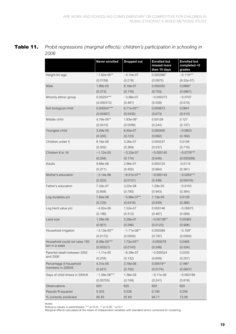| Table 11. | Probit regressions (marginal effects): children's participation in schooling in |
|-----------|---------------------------------------------------------------------------------|
|           | 2006                                                                            |

|                                               | Never enrolled | <b>Dropped out</b> | <b>Enrolled but</b><br>missed more<br>than 15 days | <b>Enrolled but</b><br>completed <2<br>grades |
|-----------------------------------------------|----------------|--------------------|----------------------------------------------------|-----------------------------------------------|
| Height-for-age                                | $-1.82e-05**$  | $-4.10e-07$        | 0.000386*                                          | $-0.119***$                                   |
|                                               | (0.0159)       | (0.218)            | (0.0975)                                           | $(9.32e-07)$                                  |
| Male                                          | 1.99e-05       | 9.19e-07           | 0.000352                                           | $0.0990*$                                     |
|                                               | (0.373)        | (0.176)            | (0.703)                                            | (0.0861)                                      |
| Minority ethnic group                         | 0.00254***     | $-3.98e-07$        | $-0.000273$                                        | $-0.0707$                                     |
|                                               | (0.000313)     | (0.481)            | (0.509)                                            | (0.570)                                       |
| Not biological child                          | $0.000541***$  | 6.71e-05**         | 0.000673                                           | 0.0841                                        |
|                                               | (0.00487)      | (0.0435)           | (0.673)                                            | (0.410)                                       |
| Middle child                                  | 4.79e-05**     | 1.83e-06*          | 0.00128                                            | 0.127                                         |
|                                               | (0.0415)       | (0.0599)           | (0.244)                                            | (0.107)                                       |
| Youngest child                                | 3.49e-05       | 8.45e-07           | 0.000455                                           | $-0.0823$                                     |
|                                               | (0.335)        | (0.723)            | (0.682)                                            | (0.160)                                       |
| Children under 5                              | 8.16e-06       | 3.26e-07           | 0.000337                                           | 0.0158                                        |
|                                               | (0.302)        | (0.369)            | (0.537)                                            | (0.716)                                       |
| Children 6 to 16                              | $-1.12e-05$    | $-3.22e-07$        | $-0.000145$                                        | $-0.0776***$                                  |
|                                               | (0.284)        | (0.174)            | (0.648)                                            | (0.000269)                                    |
| Adults                                        | 9.88e-06       | 2.96e-07           | 0.000124                                           | $-0.0115$                                     |
|                                               | (0.271)        | (0.405)            | (0.664)                                            | (0.361)                                       |
| Mother's education                            | $-3.14e-06$    | $-6.01e-07**$      | $-0.000143$                                        | $-0.0265***$                                  |
|                                               | (0.322)        | (0.0131)           | (0.438)                                            | (0.00416)                                     |
| Father's education                            | 7.32e-07       | 3.22e-08           | 1.29e-05                                           | $-0.0103$                                     |
|                                               | (0.858)        | (0.790)            | (0.943)                                            | (0.364)                                       |
| Log durables p/c                              | 1.84e-06       | $-5.86e-07**$      | 1.13e-05                                           | 0.0129                                        |
|                                               | (0.725)        | (0.0416)           | (0.939)                                            | (0.366)                                       |
| Log herd value p/c                            | $-4.82e-06$    | 1.52e-07           | 0.000146                                           | $-0.00675$                                    |
|                                               | (0.186)        | (0.312)            | (0.487)                                            | (0.569)                                       |
| Land size                                     | 1.28e-06       | 3.29e-07           | $-0.00138**$                                       | 0.00365                                       |
|                                               | (0.921)        | (0.286)            | (0.0123)                                           | (0.908)                                       |
| Household irrigation                          | $-3.13e-05**$  | $-1.71e-06**$      | 0.000389                                           | $-0.109*$                                     |
|                                               | (0.0172)       | (0.0500)           | (0.797)                                            | (0.0593)                                      |
| Household could not raise 150                 | 8.08e-05***    | 1.72e-05**         | $-0.000579$                                        | 0.0485                                        |
| birr in a week                                | (0.00321)      | (0.0143)           | (0.248)                                            | (0.324)                                       |
| Parental death between 2002                   | $-1.11e-05$    | $-6.39e-07$        | $-0.000524$                                        | 0.0535                                        |
| and 2006                                      | (0.254)        | (0.132)            | (0.609)                                            | (0.257)                                       |
| Percentage ill household<br>members in 2005/6 | 4.31e-05       | 3.79e-06           | $0.00519**$                                        | $0.186*$                                      |
|                                               | (0.421)        | (0.102)            | (0.0174)                                           | (0.0647)                                      |
| Days of child illness in 2005/6               | $-1.39e-06***$ | 1.38e-09           | $-9.11e-06$                                        | $-0.000199$                                   |
|                                               | (0.00705)      | (0.749)            | (0.241)                                            | (0.818)                                       |
| Observations                                  | 625            | 625                | 625                                                | 625                                           |
| Pseudo R-squared                              | 0.325          | 0.526              | 0.195                                              | 0.256                                         |
| % correctly predicted                         | 95.83          | 97.60              | 94.71                                              | 73.08                                         |

Notes:

Robust p-values in parentheses: \*\*\* p<0.01, \*\* p<0.05, \* p<0.1

Marginal effects calculated at the mean of independent variables with standard errors corrected for clustering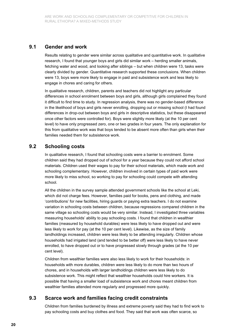#### **9.1 Gender and work**

Results relating to gender were similar across qualitative and quantitative work. In qualitative research, I found that younger boys and girls did similar work – herding smaller animals, fetching water and wood, and looking after siblings – but when children were 13, tasks were clearly divided by gender. Quantitative research supported these conclusions. When children were 13, boys were more likely to engage in paid and subsistence work and less likely to engage in chores and caring for others.

In qualitative research, children, parents and teachers did not highlight any particular differences in school enrolment between boys and girls, although girls complained they found it difficult to find time to study. In regression analysis, there was no gender-based difference in the likelihood of boys and girls never enrolling, dropping out or missing school (I had found differences in drop-out between boys and girls in descriptive statistics, but these disappeared once other factors were controlled for). Boys were slightly more likely (at the 10 per cent level) to have only progressed zero, one or two grades in four years. The only explanation for this from qualitative work was that boys tended to be absent more often than girls when their families needed them for subsistence work.

### **9.2 Schooling costs**

In qualitative research, I found that schooling costs were a barrier to enrolment. Some children said they had dropped out of school for a year because they could not afford school materials. Children used their wages to pay for their school materials, which made work and schooling complementary. However, children involved in certain types of paid work were more likely to miss school, so working to pay for schooling could compete with attending school.

All the children in the survey sample attended government schools like the school at Leki, which did not charge fees. However, families paid for books, pens and clothing, and made 'contributions' for new facilities, hiring guards or paying extra teachers. I do not examine variation in schooling costs between children, because regressions compared children in the same village so schooling costs would be very similar. Instead, I investigated three variables measuring households' ability to pay schooling costs. I found that children in wealthier families (measured by household durables) were less likely to have dropped out and were less likely to work for pay (at the 10 per cent level). Likewise, as the size of family landholdings increased, children were less likely to be attending irregularly. Children whose households had irrigated land (and tended to be better off) were less likely to have never enrolled, to have dropped out or to have progressed slowly through grades (at the 10 per cent level).

Children from wealthier families were also less likely to work for their households: in households with more durables, children were less likely to do more than two hours of chores, and in households with larger landholdings children were less likely to do subsistence work. This might reflect that wealthier households could hire workers. It is possible that having a smaller load of subsistence work and chores meant children from wealthier families attended more regularly and progressed more quickly.

#### **9.3 Scarce work and families facing credit constraints**

Children from families burdened by illness and extreme poverty said they had to find work to pay schooling costs and buy clothes and food. They said that work was often scarce, so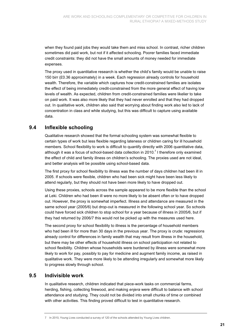when they found paid jobs they would take them and miss school. In contrast, richer children sometimes did paid work, but not if it affected schooling. Poorer families faced immediate credit constraints: they did not have the small amounts of money needed for immediate expenses.

The proxy used in quantitative research is whether the child's family would be unable to raise 150 birr (£0.36 approximately) in a week. Each regression already controls for household wealth. Therefore, the variable which captures how credit-constrained families are isolates the effect of being immediately credit-constrained from the more general effect of having low levels of wealth. As expected, children from credit-constrained families were likelier to take on paid work. It was also more likely that they had never enrolled and that they had dropped out. In qualitative work, children also said that worrying about finding work also led to lack of concentration in class and while studying, but this was difficult to capture using available data.

### **9.4 Inflexible schooling**

Qualitative research showed that the formal schooling system was somewhat flexible to certain types of work but less flexible regarding lateness or children caring for ill household members. School flexibility to work is difficult to quantify directly with 2006 quantitative data, although it was a focus of school-based data collection in 2010.<sup>7</sup> I therefore only examined the effect of child and family illness on children's schooling. The proxies used are not ideal, and better analysis will be possible using school-based data.

The first proxy for school flexibility to illness was the number of days children had been ill in 2005. If schools were flexible, children who had been sick might have been less likely to attend regularly, but they should not have been more likely to have dropped out.

Using these proxies, schools across the sample appeared to be more flexible than the school at Leki. Children who had been ill were no more likely to be absent often or to have dropped out. However, the proxy is somewhat imperfect. Illness and attendance are measured in the same school year (2005/6) but drop-out is measured in the following school year. So schools could have forced sick children to stop school for a year because of illness in 2005/6, but if they had returned by 2006/7 this would not be picked up with the measures used here.

The second proxy for school flexibility to illness is the percentage of household members who had been ill for more than 30 days in the previous year. The proxy is crude: regressions already control for differences in family wealth that may result from illness in the household, but there may be other effects of household illness on school participation not related to school flexibility. Children whose households were burdened by illness were somewhat more likely to work for pay, possibly to pay for medicine and augment family income, as raised in qualitative work. They were more likely to be attending irregularly and somewhat more likely to progress slowly through school.

#### **9.5 Indivisible work**

In qualitative research, children indicated that piece-work tasks on commercial farms, herding, fishing, collecting firewood, and making *enjera* were difficult to balance with school attendance and studying. They could not be divided into small chunks of time or combined with other activities. This finding proved difficult to test in quantitative research.

<sup>7</sup> In 2010, Young Lives conducted a survey of 120 of the schools attended by Young Lives children.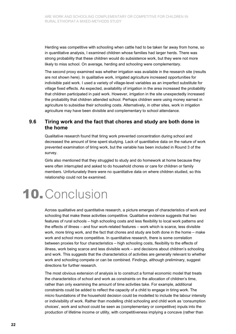Herding was competitive with schooling when cattle had to be taken far away from home, so in quantitative analysis, I examined children whose families had larger herds. There was strong probability that these children would do subsistence work, but they were not more likely to miss school. On average, herding and schooling were complementary.

The second proxy examined was whether irrigation was available in the research site (results are not shown here). In qualitative work, irrigated agriculture increased opportunities for indivisible paid work. I used a variety of village-level variables as an imperfect substitute for village fixed effects. As expected, availability of irrigation in the area increased the probability that children participated in paid work. However, irrigation in the site unexpectedly increased the probability that children attended school. Perhaps children were using money earned in agriculture to subsidise their schooling costs. Alternatively, in other sites, work in irrigation agriculture may have been divisible and complementary to school attendance.

#### **9.6 Tiring work and the fact that chores and study are both done in the home**

Qualitative research found that tiring work prevented concentration during school and decreased the amount of time spent studying. Lack of quantitative data on the nature of work prevented examination of tiring work, but the variable has been included in Round 3 of the survey.

Girls also mentioned that they struggled to study and do homework at home because they were often interrupted and asked to do household chores or care for children or family members. Unfortunately there were no quantitative data on where children studied, so this relationship could not be examined.

# **10.** Conclusion

Across qualitative and quantitative research, a picture emerges of characteristics of work and schooling that make these activities competitive. Qualitative evidence suggests that two features of rural schools – high schooling costs and less flexibility to local work patterns and the effects of illness – and four work-related features – work which is scarce, less divisible work, more tiring work, and the fact that chores and study are both done in the home – make work and school more competitive. In quantitative research, there is some correlation between proxies for four characteristics – high schooling costs, flexibility to the effects of illness, work being scarce and less divisible work – and decisions about children's schooling and work. This suggests that the characteristics of activities are generally relevant to whether work and schooling compete or can be combined. Findings, although preliminary, suggest directions for further research.

The most obvious extension of analysis is to construct a formal economic model that treats the characteristics of school and work as constraints on the allocation of children's time, rather than only examining the amount of time activities take. For example, additional constraints could be added to reflect the capacity of a child to engage in tiring work. The micro foundations of the household decision could be modelled to include the labour intensity or indivisibility of work. Rather than modelling child schooling and child work as 'consumption choices', work and school could be seen as (complementary or competitive) inputs into the production of lifetime income or utility, with competitiveness implying a concave (rather than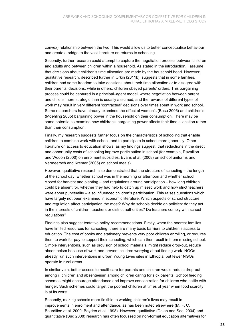convex) relationship between the two. This would allow us to better conceptualise behaviour and create a bridge to the vast literature on returns to schooling.

Secondly, further research could attempt to capture the negotiation process between children and adults and between children within a household. As stated in the introduction, I assume that decisions about children's time allocation are made by the household head. However, qualitative research, described further in Orkin (2011b), suggests that in some families, children had some freedom to take decisions about their time allocation or to disagree with their parents' decisions, while in others, children obeyed parents' orders. This bargaining process could be captured in a principal–agent model, where negotiation between parent and child is more strategic than is usually assumed, and the rewards of different types of work may result in very different 'contractual' decisions over times spent in work and school. Some researchers have already examined the effect of women's (Basu 2006) and children's (Moehling 2005) bargaining power in the household on their consumption. There may be some potential to examine how children's bargaining power affects their time allocation rather than their consumption.

Finally, my research suggests further focus on the characteristics of schooling that enable children to combine work with school, and to participate in school more generally. Other literature on access to education shows, as my findings suggest, that reductions in the direct and opportunity costs of schooling improve participation in school (for example, Ravallion and Wodon (2000) on enrolment subsidies, Evans et al. (2008) on school uniforms and Vermeersch and Kremer (2005) on school meals).

However, qualitative research also demonstrated that the structure of schooling – the length of the school day, whether school was in the morning or afternoon and whether school closed for harvest and planting – and regulations around participation – how long children could be absent for, whether they had help to catch up missed work and how strict teachers were about punctuality – also influenced children's participation. This raises questions which have largely not been examined in economic literature. Which aspects of school structure and regulation affect participation the most? Why do schools decide on policies: do they act in the interests of children, teachers or district authorities? Do teachers comply with school regulations?

Findings also suggest tentative policy recommendations. Firstly, when the poorest families have limited resources for schooling, there are many basic barriers to children's access to education. The cost of books and stationery prevents very poor children enrolling, or requires them to work for pay to support their schooling, which can then result in them missing school. Simple interventions, such as provision of school materials, might reduce drop-out, reduce absenteeism because of work and prevent children worrying about finding work. NGOs already run such interventions in urban Young Lives sites in Ethiopia, but fewer NGOs operate in rural areas.

In similar vein, better access to healthcare for parents and children would reduce drop-out among ill children and absenteeism among children caring for sick parents. School feeding schemes might encourage attendance and improve concentration for children who battle with hunger. Such schemes could target the poorest children at times of year when food scarcity is at its worst.

Secondly, making schools more flexible to working children's lives may result in improvements in enrolment and attendance, as has been noted elsewhere (M. F. C. Bourdillon et al. 2009; Boyden et al. 1998). However, qualitative (Delap and Seel 2004) and quantitative (Sud 2008) research has often focussed on non-formal education alternatives for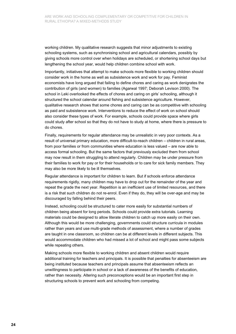working children. My qualitative research suggests that minor adjustments to existing schooling systems, such as synchronising school and agricultural calendars, possibly by giving schools more control over when holidays are scheduled, or shortening school days but lengthening the school year, would help children combine school with work.

Importantly, initiatives that attempt to make schools more flexible to working children should consider work in the home as well as subsistence work and work for pay. Feminist economists have long argued that failing to define chores and caring as work denigrates the contribution of girls (and women) to families (Agarwal 1997; Deborah Levison 2000). The school in Leki overlooked the effects of chores and caring on girls' schooling, although it structured the school calendar around fishing and subsistence agriculture. However, qualitative research shows that some chores and caring can be as competitive with schooling as paid and subsistence work. Interventions to reduce the effect of work on school should also consider these types of work. For example, schools could provide space where girls could study after school so that they do not have to study at home, where there is pressure to do chores.

Finally, requirements for regular attendance may be unrealistic in very poor contexts. As a result of universal primary education, more difficult-to-reach children – children in rural areas, from poor families or from communities where education is less valued – are now able to access formal schooling. But the same factors that previously excluded them from school may now result in them struggling to attend regularly. Children may be under pressure from their families to work for pay or for their households or to care for sick family members. They may also be more likely to be ill themselves.

Regular attendance is important for children to learn. But if schools enforce attendance requirements rigidly, many children may have to drop out for the remainder of the year and repeat the grade the next year. Repetition is an inefficient use of limited resources, and there is a risk that such children do not re-enrol. Even if they do, they will be over-age and may be discouraged by falling behind their peers.

Instead, schooling could be structured to cater more easily for substantial numbers of children being absent for long periods. Schools could provide extra tutorials. Learning materials could be designed to allow literate children to catch up more easily on their own. Although this would be more challenging, governments could structure curricula in modules rather than years and use multi-grade methods of assessment, where a number of grades are taught in one classroom, so children can be at different levels in different subjects. This would accommodate children who had missed a lot of school and might pass some subjects while repeating others.

Making schools more flexible to working children and absent children would require additional training for teachers and principals. It is possible that penalties for absenteeism are being instituted because teachers and principals assume that absenteeism reflects an unwillingness to participate in school or a lack of awareness of the benefits of education, rather than necessity. Altering such preconceptions would be an important first step in structuring schools to prevent work and schooling from competing.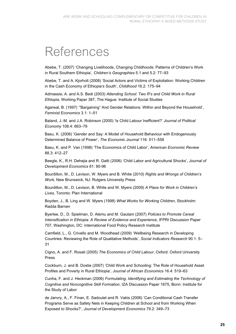## References

Abebe, T. (2007) 'Changing Livelihoods, Changing Childhoods: Patterns of Children's Work in Rural Southern Ethiopia', *Children's Geographies* 5.1 and 5.2: 77–93

Abebe, T. and A. Kjorholt (2008) 'Social Actors and Victims of Exploitation: Working Children in the Cash Economy of Ethiopia's South', *Childhood* 16.2: 175–94

Admassie, A. and A.S. Bedi (2003) *Attending School: Two R's and Child Work in Rural Ethiopia*, Working Paper 387, The Hague: Institute of Social Studies

Agarwal, B. (1997) '"Bargaining" And Gender Relations: Within and Beyond the Household', *Feminist Economics* 3.1: 1–51

Baland, J.-M. and J.A. Robinson (2000) 'Is Child Labour Inefficient?' *Journal of Political Economy* 108.4: 663–79

Basu, K. (2006) 'Gender and Say: A Model of Household Behaviour with Endogenously Determined Balance of Power', *The Economic Journal* 116: 511–558

Basu, K. and P. Van (1998) 'The Economics of Child Labor', *American Economic Review* 88.3: 412–27

Beegle, K., R.H. Dehejia and R. Gatti (2006) 'Child Labor and Agricultural Shocks', *Journal of Development Economics* 81: 80-96

Bourdillon, M., D. Levison, W. Myers and B. White (2010) *Rights and Wrongs of Children's Work*, New Brunswick, NJ: Rutgers University Press

Bourdillon, M., D. Levison, B. White and W. Myers (2009) *A Place for Work in Children's Lives*, Toronto: Plan International

Boyden, J., B. Ling and W. Myers (1998) *What Works for Working Children*, Stockholm: Radda Barnen

Byerlee, D., D. Spielman, D. Alemu and M. Gautam (2007) *Policies to Promote Cereal Intensification in Ethiopia: A Review of Evidence and Experience*, IFPRI Discussion Paper 707, Washington, DC: International Food Policy Research Institute

Camfield, L., G. Crivello and M. Woodhead (2009) 'Wellbeing Research in Developing Countries: Reviewing the Role of Qualitative Methods', *Social Indicators Research* 90.1: 5– 31

Cigno, A. and F. Rosati (2005) *The Economics of Child Labour*, Oxford: Oxford University Press

Cockburn, J. and B. Dostie (2007) 'Child Work and Schooling: The Role of Household Asset Profiles and Poverty in Rural Ethiopia', *Journal of African Economics* 16.4: 519–63

Cunha, F. and J. Heckman (2006) *Formulating, Identifying and Estimating the Technology of Cognitive and Noncognitive Skill Formation*, IZA Discussion Paper 1675, Bonn: Institute for the Study of Labor

de Janvry, A., F. Finan, E. Sadoulet and R. Vakis (2006) 'Can Conditional Cash Transfer Programs Serve as Safety Nets in Keeping Children at School and from Working When Exposed to Shocks?', *Journal of Development Economics* 79.2: 349–73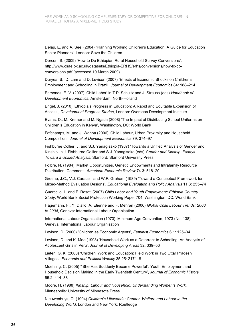Delap, E. and A. Seel (2004) 'Planning Working Children's Education: A Guide for Education Sector Planners', London: Save the Children

Dercon, S. (2009) 'How to Do Ethiopian Rural Household Survey Conversions', http://www.csae.ox.ac.uk/datasets/Ethiopia-ERHS/erhs/conversions/how-to-doconversions.pdf (accessed 10 March 2009)

Duryea, S., D. Lam and D. Levison (2007) 'Effects of Economic Shocks on Children's Employment and Schooling in Brazil', *Journal of Development Economics* 84: 188–214

Edmonds, E. V. (2007) 'Child Labor' in T.P. Schultz and J. Strauss (eds) *Handbook of Development Economics*, Amsterdam: North-Holland

Engel, J. (2010) 'Ethiopia's Progress in Education: A Rapid and Equitable Expansion of Access', *Development Progress Stories*, London: Overseas Development Institute

Evans, D., M. Kremer and M. Ngatia (2008) 'The Impact of Distributing School Uniforms on Children's Education in Kenya', Washington, DC: World Bank

Fafchamps, M. and J. Wahba (2006) 'Child Labour, Urban Proximity and Household Composition', *Journal of Development Economics* 79: 374–97

Fishburne Collier, J. and S.J. Yanagisako (1987) 'Towards a Unified Analysis of Gender and Kinship' in J. Fishburne Collier and S.J. Yanagisako (eds) *Gender and Kinship: Essays Toward a Unified Analysis*, Stanford: Stanford University Press

Folbre, N. (1984) 'Market Opportunities, Genetic Endowments and Intrafamily Resource Distribution: Comment', *American Economic Review* 74.3: 518–20

Greene, J.C., V.J. Caracelli and W.F. Graham (1989) 'Toward a Conceptual Framework for Mixed-Method Evaluation Designs', *Educational Evaluation and Policy Analysis* 11.3: 255–74

Guarcello, L. and F. Rosati (2007) *Child Labor and Youth Employment: Ethiopia Country Study*, World Bank Social Protection Working Paper 704, Washington, DC: World Bank

Hagemann, F., Y. Diallo, A. Etienne and F. Mehran (2006) *Global Child Labour Trends: 2000 to 2004*, Geneva: International Labour Organisation

International Labour Organisation (1973) 'Minimum Age Convention, 1973 (No. 138)', Geneva: International Labour Organisation

Levison, D. (2000) 'Children as Economic Agents', *Feminist Economics* 6.1: 125–34

Levison, D. and K. Moe (1998) 'Household Work as a Deterrent to Schooling: An Analysis of Adolescent Girls in Peru', *Journal of Developing Areas* 32: 339–56

Lieten, G. K. (2000) 'Children, Work and Education: Field Work in Two Uttar Pradesh Villages', *Economic and Political Weekly* 35.25: 2171–8

Moehling, C. (2005) '"She Has Suddenly Become Powerful": Youth Employment and Household Decision Making in the Early Twentieth Century', *Journal of Economic History* 65.2: 414–38

Moore, H. (1988) *Kinship, Labour and Household: Understanding Women's Work*, Minneapolis: University of Minnesota Press

Nieuwenhuys, O. (1994) *Children's Lifeworlds: Gender, Welfare and Labour in the Developing World*, London and New York: Routledge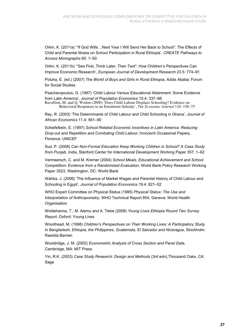Orkin, K. (2011a) '"If God Wills…Next Year I Will Send Her Back to School": The Effects of Child and Parental Illness on School Participation in Rural Ethiopia', *CREATE Pathways to Access Monographs* 60: 1–50

Orkin, K. (2011b) '"See First, Think Later, Then Test": How Children's Perspectives Can Improve Economic Research', *European Journal of Development Research* 23.5: 774–91

Poluha, E. (ed.) (2007) *The World of Boys and Girls in Rural Ethiopia*, Addis Ababa: Forum for Social Studies

Psacharopoulos, G. (1997) 'Child Labour Versus Educational Attainment: Some Evidence from Latin America', *Journal of Population Economics* 10.4: 337–86 Ravallion, M. and Q. Wodon (2000) 'Does Child Labour Displace Schooling? Evidence on

Behavioral Responses to an Enrolment Subsidy', *The Economic Journal* 110: 158–75

Ray, R. (2003) 'The Determinants of Child Labour and Child Schooling in Ghana', *Journal of African Economics* 11.4: 561–90

Schiefelbein, E. (1997) *School-Related Economic Incentives in Latin America: Reducing Drop-out and Repetition and Combating Child Labour*, Innocenti Occasional Papers, Florence: UNICEF

Sud, P. (2008) *Can Non-Formal Education Keep Working Children in School? A Case Study from Punjab, India*, Stanford Center for International Development Working Paper 357: 1–62

Vermeersch, C. and M. Kremer (2004) *School Meals, Educational Achievement and School Competition: Evidence from a Randomized Evaluation*, World Bank Policy Research Working Paper 3523, Washington, DC: World Bank

Wahba, J. (2006) 'The Influence of Market Wages and Parental History of Child Labour and Schooling in Egypt', *Journal of Population Economics* 19.4: 821–52

WHO Expert Committee on Physical Status (1995) *Physical Status: The Use and Interpretation of Anthropometry*, WHO Technical Report 854, Geneva: World Health **Organisation** 

Woldehanna, T., M. Alemu and A. Tekie (2008) *Young Lives Ethiopia Round Two Survey Report*, Oxford: Young Lives

Woodhead, M. (1998) *Children's Perspectives on Their Working Lives: A Participatory Study in Bangladesh, Ethiopia, the Philippines, Guatemala, El Salvador and Nicaragua*, Stockholm: Raedda Barnen

Wooldridge, J. M. (2002) *Econometric Analysis of Cross Section and Panel Data*, Cambridge, MA: MIT Press

Yin, R.K. (2003) *Case Study Research: Design and Methods* (3rd edn),Thousand Oaks, CA: Sage